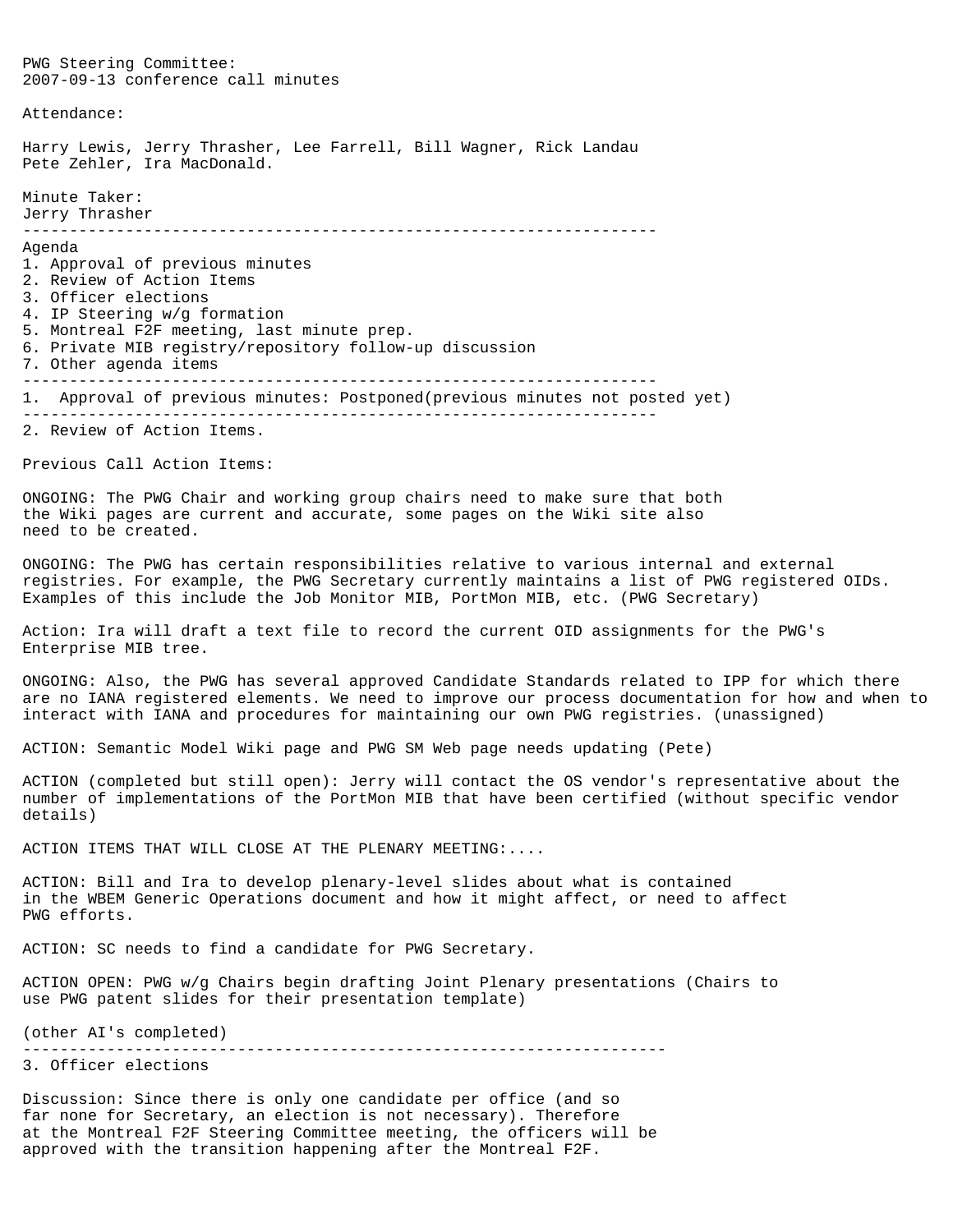PWG Steering Committee: 2007-09-13 conference call minutes Attendance: Harry Lewis, Jerry Thrasher, Lee Farrell, Bill Wagner, Rick Landau Pete Zehler, Ira MacDonald. Minute Taker: Jerry Thrasher -------------------------------------------------------------------- Agenda 1. Approval of previous minutes 2. Review of Action Items 3. Officer elections 4. IP Steering w/g formation 5. Montreal F2F meeting, last minute prep. 6. Private MIB registry/repository follow-up discussion 7. Other agenda items -------------------------------------------------------------------- 1. Approval of previous minutes: Postponed(previous minutes not posted yet) -------------------------------------------------------------------- 2. Review of Action Items. Previous Call Action Items: ONGOING: The PWG Chair and working group chairs need to make sure that both the Wiki pages are current and accurate, some pages on the Wiki site also need to be created. ONGOING: The PWG has certain responsibilities relative to various internal and external registries. For example, the PWG Secretary currently maintains a list of PWG registered OIDs. Examples of this include the Job Monitor MIB, PortMon MIB, etc. (PWG Secretary) Action: Ira will draft a text file to record the current OID assignments for the PWG's Enterprise MIB tree. ONGOING: Also, the PWG has several approved Candidate Standards related to IPP for which there are no IANA registered elements. We need to improve our process documentation for how and when to interact with IANA and procedures for maintaining our own PWG registries. (unassigned) ACTION: Semantic Model Wiki page and PWG SM Web page needs updating (Pete) ACTION (completed but still open): Jerry will contact the OS vendor's representative about the number of implementations of the PortMon MIB that have been certified (without specific vendor details) ACTION ITEMS THAT WILL CLOSE AT THE PLENARY MEETING:.... ACTION: Bill and Ira to develop plenary-level slides about what is contained in the WBEM Generic Operations document and how it might affect, or need to affect PWG efforts. ACTION: SC needs to find a candidate for PWG Secretary. ACTION OPEN: PWG w/g Chairs begin drafting Joint Plenary presentations (Chairs to use PWG patent slides for their presentation template) (other AI's completed) --------------------------------------------------------------------- 3. Officer elections Discussion: Since there is only one candidate per office (and so far none for Secretary, an election is not necessary). Therefore

at the Montreal F2F Steering Committee meeting, the officers will be

approved with the transition happening after the Montreal F2F.